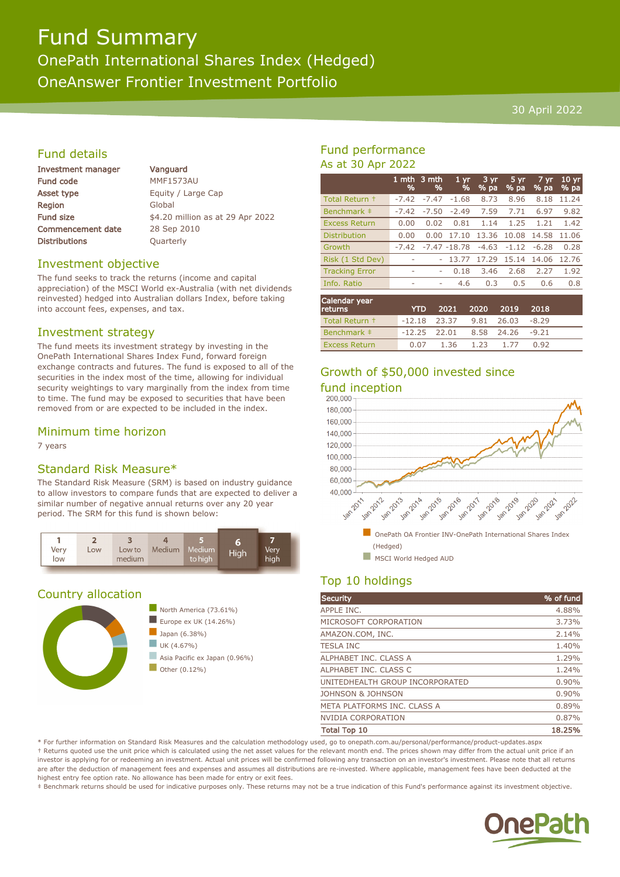# Fund Summary OnePath International Shares Index (Hedged) OneAnswer Frontier Investment Portfolio

#### 30 April 2022

## Fund details

| <b>Investment manager</b> |  |  |
|---------------------------|--|--|
| <b>Fund code</b>          |  |  |
| <b>Asset type</b>         |  |  |
| Region                    |  |  |
| <b>Fund size</b>          |  |  |
| <b>Commencement date</b>  |  |  |
| <b>Distributions</b>      |  |  |

Vanguard MMF1573AU Equity / Large Cap Global \$4.20 million as at 29 Apr 2022 28 Sep 2010 **Quarterly** 

#### Investment objective

The fund seeks to track the returns (income and capital appreciation) of the MSCI World ex-Australia (with net dividends reinvested) hedged into Australian dollars Index, before taking into account fees, expenses, and tax.

#### Investment strategy

The fund meets its investment strategy by investing in the OnePath International Shares Index Fund, forward foreign exchange contracts and futures. The fund is exposed to all of the securities in the index most of the time, allowing for individual security weightings to vary marginally from the index from time to time. The fund may be exposed to securities that have been removed from or are expected to be included in the index.

#### Minimum time horizon

7 years

### Standard Risk Measure\*

The Standard Risk Measure (SRM) is based on industry guidance to allow investors to compare funds that are expected to deliver a similar number of negative annual returns over any 20 year period. The SRM for this fund is shown below:



### Country allocation



# Fund performance As at 30 Apr 2022

|                       | %       | 1 mth $3$ mth<br>% | 1 <sub>yr</sub><br>% | $3 \, yr$<br>% pa | 5 yr<br>% pa | $7 \, \text{yr}$<br>% pa | 10 <sub>yr</sub><br>% pa |
|-----------------------|---------|--------------------|----------------------|-------------------|--------------|--------------------------|--------------------------|
| Total Return +        | $-7.42$ | $-7.47$            | $-1.68$              | 8.73              | 8.96         | 8.18                     | 11.24                    |
| Benchmark ‡           | $-7.42$ | $-7.50$            | $-2.49$              | 7.59              | 7.71         | 6.97                     | 9.82                     |
| <b>Excess Return</b>  | 0.00    | 0.02               | 0.81                 | 1.14              | 1.25         | 1.21                     | 1.42                     |
| <b>Distribution</b>   | 0.00    | 0.00               | 17.10                | 13.36             | 10.08        | 14.58                    | 11.06                    |
| Growth                | $-7.42$ |                    | $-7.47 - 18.78$      | $-4.63$           | $-1.12$      | $-6.28$                  | 0.28                     |
| Risk (1 Std Dev)      | ۰       |                    | 13.77                | 17.29             | 15.14        | 14.06                    | 12.76                    |
| <b>Tracking Error</b> | ٠       | ۰                  | 0.18                 | 3.46              | 2.68         | 2.27                     | 1.92                     |
| Info. Ratio           | ۰       | ۰                  | 4.6                  | 0.3               | 0.5          | 0.6                      | 0.8                      |
|                       |         |                    |                      |                   |              |                          |                          |

| Calendar year<br><b>returns</b> | <b>YTD</b>                        |                | 2021 2020 2019 | 2018 |  |
|---------------------------------|-----------------------------------|----------------|----------------|------|--|
| Total Return +                  | $-12.18$ 23.37 9.81 26.03 $-8.29$ |                |                |      |  |
| Benchmark #                     | $-12.25$ 22.01 8.58 24.26 $-9.21$ |                |                |      |  |
| <b>Excess Return</b>            | 0.07                              | 1.36 1.23 1.77 |                | 0.92 |  |

# Growth of \$50,000 invested since





# Top 10 holdings

| <b>Security</b>                 | % of fund |
|---------------------------------|-----------|
| APPLE INC.                      | 4.88%     |
| MICROSOFT CORPORATION           | 3.73%     |
| AMAZON.COM, INC.                | 2.14%     |
| <b>TESLA INC</b>                | 1.40%     |
| ALPHABET INC. CLASS A           | 1.29%     |
| ALPHABET INC. CLASS C           | 1.24%     |
| UNITEDHEALTH GROUP INCORPORATED | 0.90%     |
| JOHNSON & JOHNSON               | 0.90%     |
| META PLATFORMS INC. CLASS A     | 0.89%     |
| <b>NVIDIA CORPORATION</b>       | 0.87%     |
| <b>Total Top 10</b>             | 18.25%    |

\* For further information on Standard Risk Measures and the calculation methodology used, go to onepath.com.au/personal/performance/product-updates.aspx † Returns quoted use the unit price which is calculated using the net asset values for the relevant month end. The prices shown may differ from the actual unit price if an investor is applying for or redeeming an investment. Actual unit prices will be confirmed following any transaction on an investor's investment. Please note that all returns are after the deduction of management fees and expenses and assumes all distributions are re-invested. Where applicable, management fees have been deducted at the highest entry fee option rate. No allowance has been made for entry or exit fees.

‡ Benchmark returns should be used for indicative purposes only. These returns may not be a true indication of this Fund's performance against its investment objective.